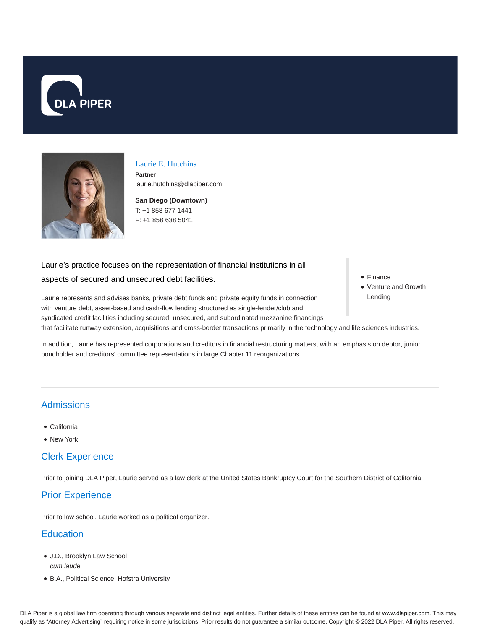



## Laurie E. Hutchins

**Partner** laurie.hutchins@dlapiper.com

**San Diego (Downtown)** T: +1 858 677 1441 F: +1 858 638 5041

#### Laurie's practice focuses on the representation of financial institutions in all

#### aspects of secured and unsecured debt facilities.

- Finance
- Venture and Growth Lending

Laurie represents and advises banks, private debt funds and private equity funds in connection with venture debt, asset-based and cash-flow lending structured as single-lender/club and syndicated credit facilities including secured, unsecured, and subordinated mezzanine financings that facilitate runway extension, acquisitions and cross-border transactions primarily in the technology and life sciences industries.

In addition, Laurie has represented corporations and creditors in financial restructuring matters, with an emphasis on debtor, junior bondholder and creditors' committee representations in large Chapter 11 reorganizations.

## Admissions

- California
- New York

## Clerk Experience

Prior to joining DLA Piper, Laurie served as a law clerk at the United States Bankruptcy Court for the Southern District of California.

# Prior Experience

Prior to law school, Laurie worked as a political organizer.

# **Education**

- J.D., Brooklyn Law School cum laude
- B.A., Political Science, Hofstra University